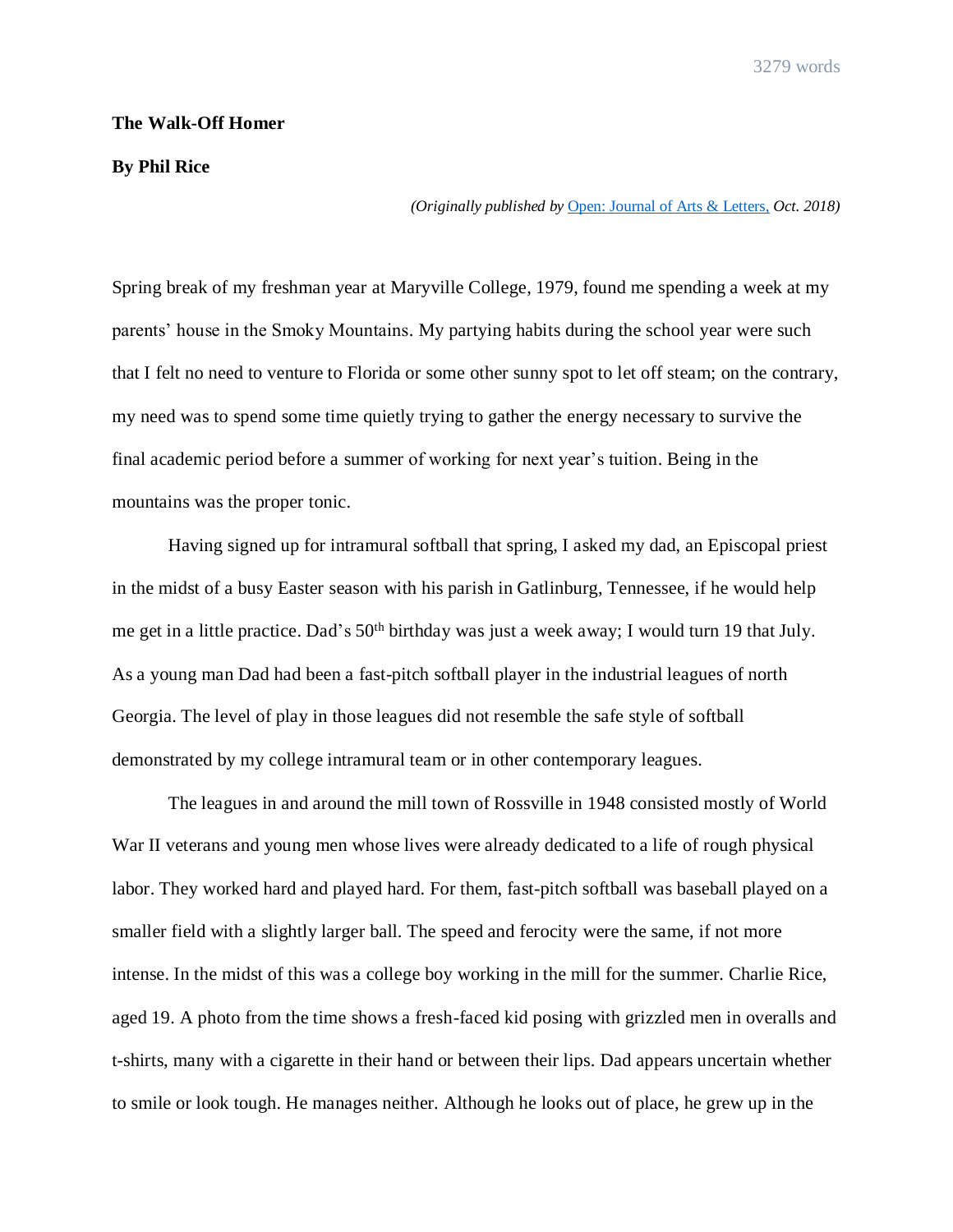## **The Walk-Off Homer**

## **By Phil Rice**

*(Originally published by* [Open: Journal of Arts & Letters,](http://ojalart.com/literary-arts/nonfiction/cnfessaymemoir-phil-rices-walk-off-homer/?fbclid=IwAR3Cyf1U7i4nWgb4c_3MJRM9V0x5TdUHQLUIGWk8iYY7Zn3SPnpjme8h6-o) *Oct. 2018)*

Spring break of my freshman year at Maryville College, 1979, found me spending a week at my parents' house in the Smoky Mountains. My partying habits during the school year were such that I felt no need to venture to Florida or some other sunny spot to let off steam; on the contrary, my need was to spend some time quietly trying to gather the energy necessary to survive the final academic period before a summer of working for next year's tuition. Being in the mountains was the proper tonic.

Having signed up for intramural softball that spring, I asked my dad, an Episcopal priest in the midst of a busy Easter season with his parish in Gatlinburg, Tennessee, if he would help me get in a little practice. Dad's 50<sup>th</sup> birthday was just a week away; I would turn 19 that July. As a young man Dad had been a fast-pitch softball player in the industrial leagues of north Georgia. The level of play in those leagues did not resemble the safe style of softball demonstrated by my college intramural team or in other contemporary leagues.

The leagues in and around the mill town of Rossville in 1948 consisted mostly of World War II veterans and young men whose lives were already dedicated to a life of rough physical labor. They worked hard and played hard. For them, fast-pitch softball was baseball played on a smaller field with a slightly larger ball. The speed and ferocity were the same, if not more intense. In the midst of this was a college boy working in the mill for the summer. Charlie Rice, aged 19. A photo from the time shows a fresh-faced kid posing with grizzled men in overalls and t-shirts, many with a cigarette in their hand or between their lips. Dad appears uncertain whether to smile or look tough. He manages neither. Although he looks out of place, he grew up in the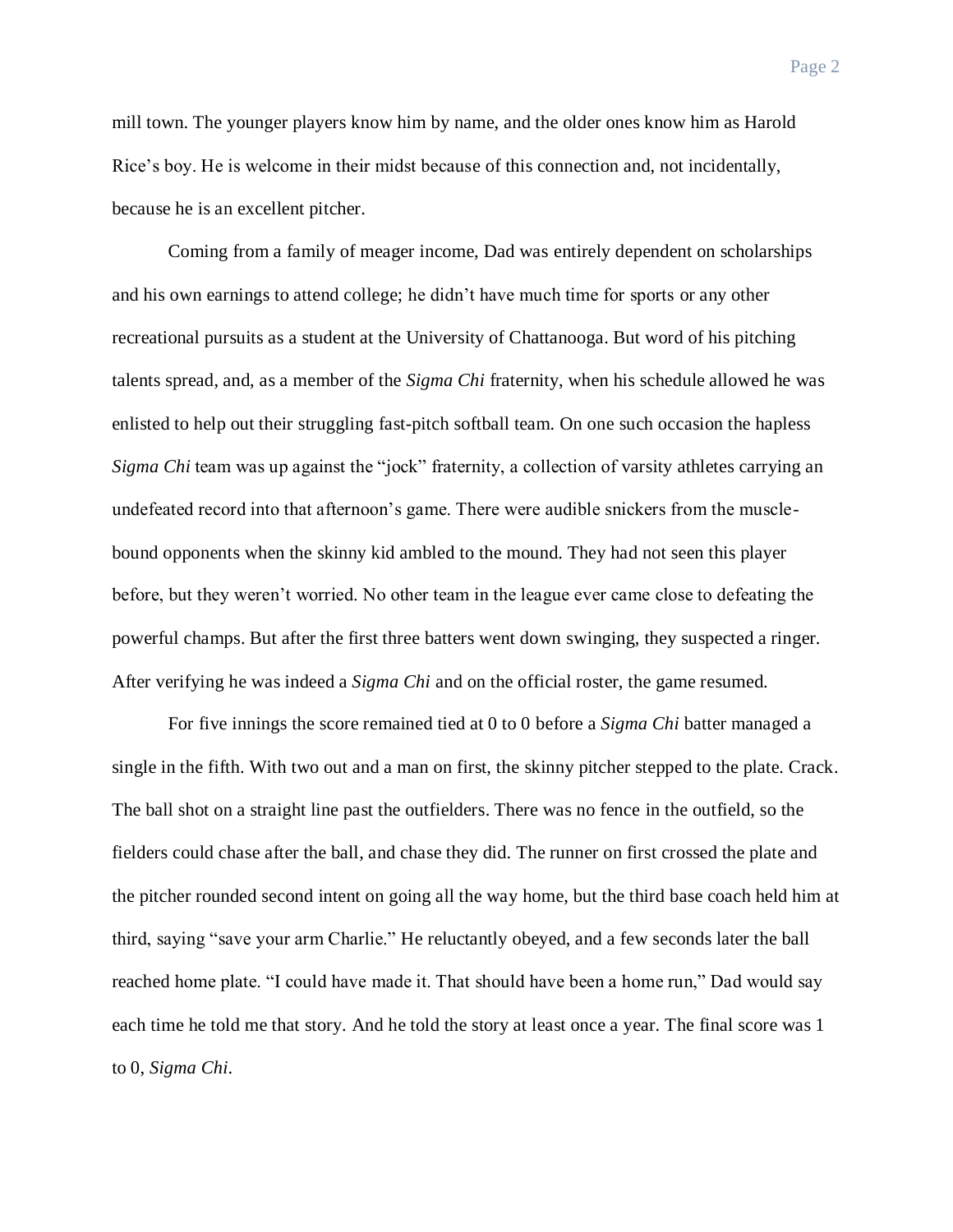mill town. The younger players know him by name, and the older ones know him as Harold Rice's boy. He is welcome in their midst because of this connection and, not incidentally,

because he is an excellent pitcher.

Coming from a family of meager income, Dad was entirely dependent on scholarships and his own earnings to attend college; he didn't have much time for sports or any other recreational pursuits as a student at the University of Chattanooga. But word of his pitching talents spread, and, as a member of the *Sigma Chi* fraternity, when his schedule allowed he was enlisted to help out their struggling fast-pitch softball team. On one such occasion the hapless *Sigma Chi* team was up against the "jock" fraternity, a collection of varsity athletes carrying an undefeated record into that afternoon's game. There were audible snickers from the musclebound opponents when the skinny kid ambled to the mound. They had not seen this player before, but they weren't worried. No other team in the league ever came close to defeating the powerful champs. But after the first three batters went down swinging, they suspected a ringer. After verifying he was indeed a *Sigma Chi* and on the official roster, the game resumed.

For five innings the score remained tied at 0 to 0 before a *Sigma Chi* batter managed a single in the fifth. With two out and a man on first, the skinny pitcher stepped to the plate. Crack. The ball shot on a straight line past the outfielders. There was no fence in the outfield, so the fielders could chase after the ball, and chase they did. The runner on first crossed the plate and the pitcher rounded second intent on going all the way home, but the third base coach held him at third, saying "save your arm Charlie." He reluctantly obeyed, and a few seconds later the ball reached home plate. "I could have made it. That should have been a home run," Dad would say each time he told me that story. And he told the story at least once a year. The final score was 1 to 0, *Sigma Chi*.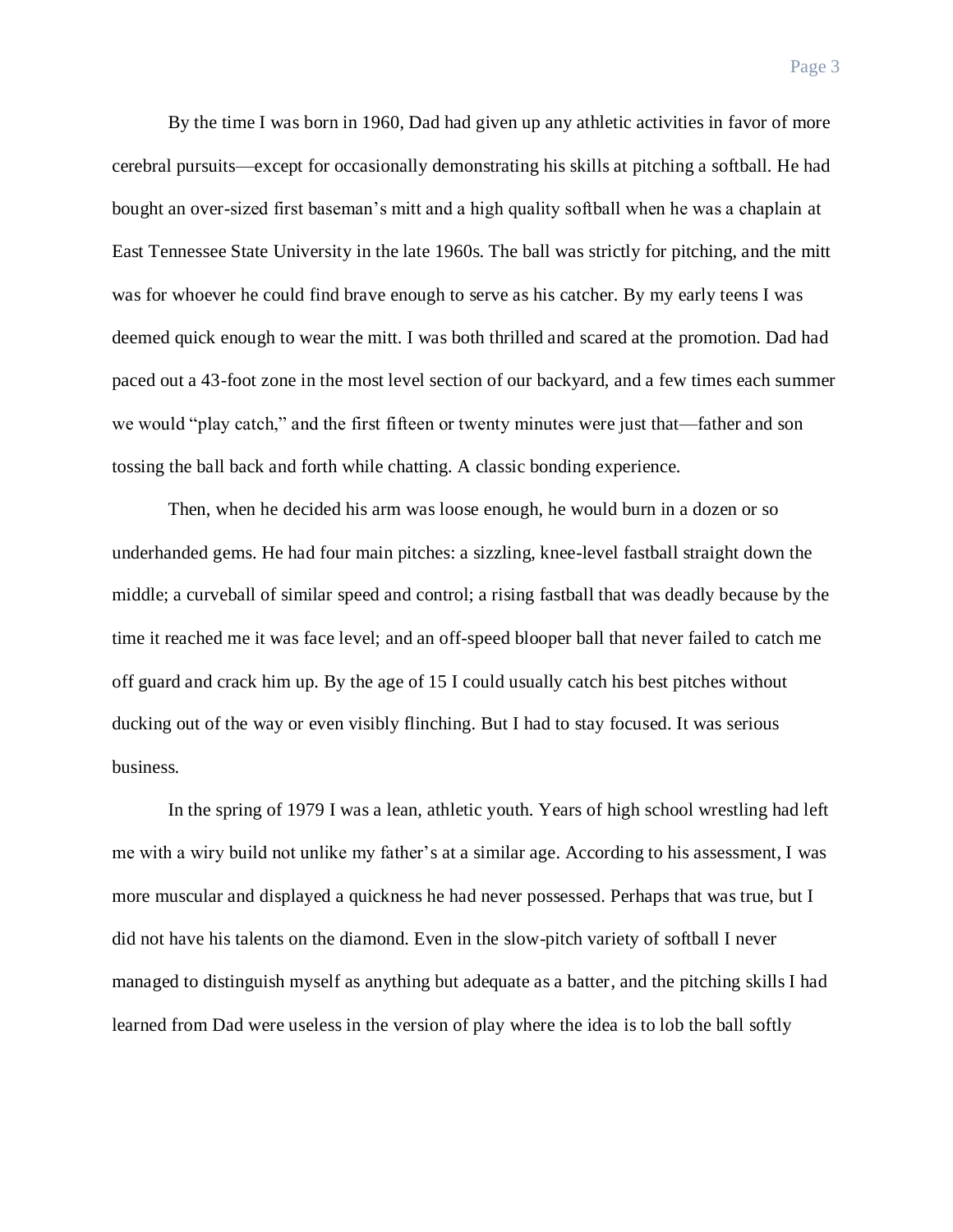Page 3

By the time I was born in 1960, Dad had given up any athletic activities in favor of more cerebral pursuits—except for occasionally demonstrating his skills at pitching a softball. He had bought an over-sized first baseman's mitt and a high quality softball when he was a chaplain at East Tennessee State University in the late 1960s. The ball was strictly for pitching, and the mitt was for whoever he could find brave enough to serve as his catcher. By my early teens I was deemed quick enough to wear the mitt. I was both thrilled and scared at the promotion. Dad had paced out a 43-foot zone in the most level section of our backyard, and a few times each summer we would "play catch," and the first fifteen or twenty minutes were just that—father and son tossing the ball back and forth while chatting. A classic bonding experience.

Then, when he decided his arm was loose enough, he would burn in a dozen or so underhanded gems. He had four main pitches: a sizzling, knee-level fastball straight down the middle; a curveball of similar speed and control; a rising fastball that was deadly because by the time it reached me it was face level; and an off-speed blooper ball that never failed to catch me off guard and crack him up. By the age of 15 I could usually catch his best pitches without ducking out of the way or even visibly flinching. But I had to stay focused. It was serious business.

In the spring of 1979 I was a lean, athletic youth. Years of high school wrestling had left me with a wiry build not unlike my father's at a similar age. According to his assessment, I was more muscular and displayed a quickness he had never possessed. Perhaps that was true, but I did not have his talents on the diamond. Even in the slow-pitch variety of softball I never managed to distinguish myself as anything but adequate as a batter, and the pitching skills I had learned from Dad were useless in the version of play where the idea is to lob the ball softly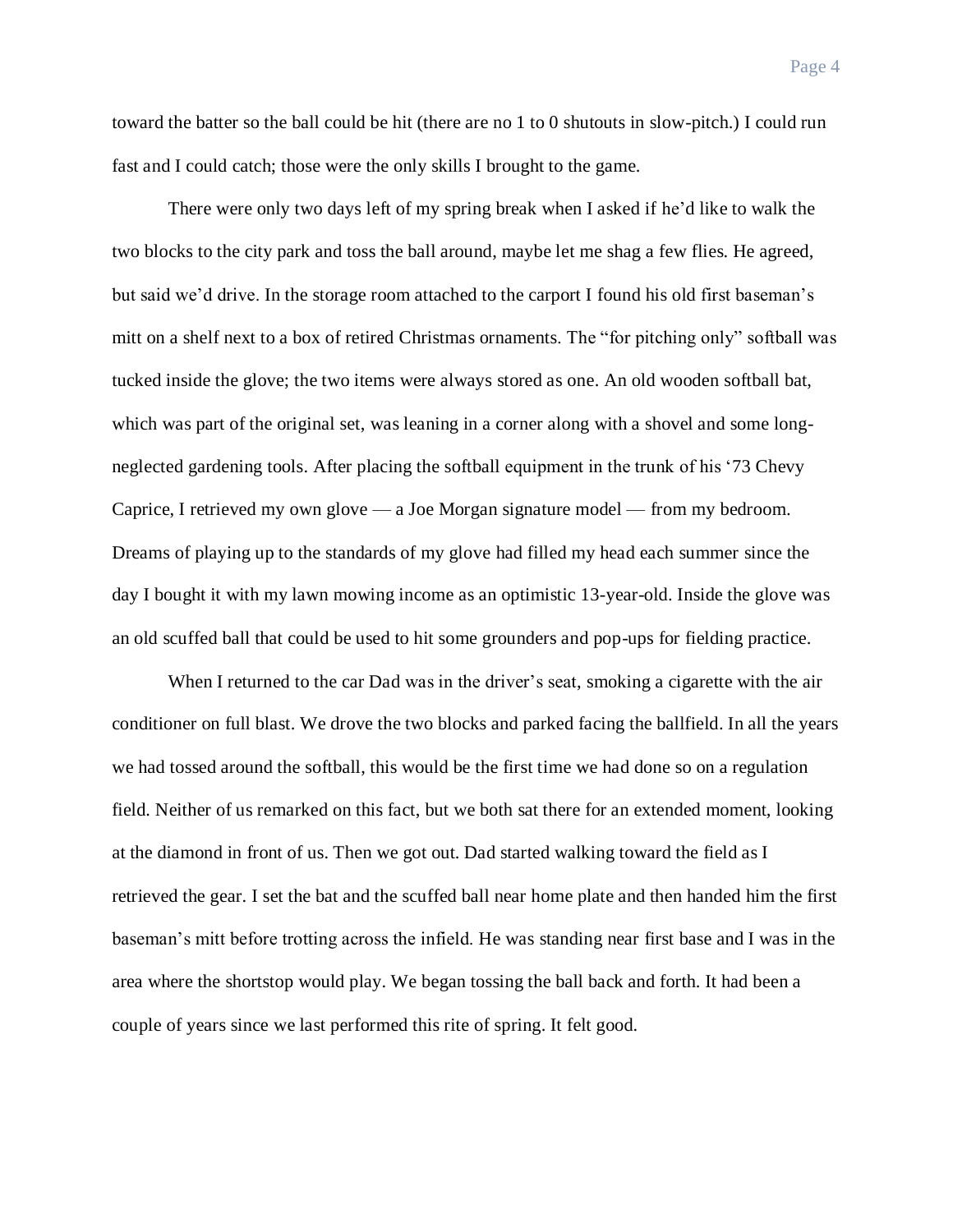toward the batter so the ball could be hit (there are no 1 to 0 shutouts in slow-pitch.) I could run fast and I could catch; those were the only skills I brought to the game.

There were only two days left of my spring break when I asked if he'd like to walk the two blocks to the city park and toss the ball around, maybe let me shag a few flies. He agreed, but said we'd drive. In the storage room attached to the carport I found his old first baseman's mitt on a shelf next to a box of retired Christmas ornaments. The "for pitching only" softball was tucked inside the glove; the two items were always stored as one. An old wooden softball bat, which was part of the original set, was leaning in a corner along with a shovel and some longneglected gardening tools. After placing the softball equipment in the trunk of his '73 Chevy Caprice, I retrieved my own glove — a Joe Morgan signature model — from my bedroom. Dreams of playing up to the standards of my glove had filled my head each summer since the day I bought it with my lawn mowing income as an optimistic 13-year-old. Inside the glove was an old scuffed ball that could be used to hit some grounders and pop-ups for fielding practice.

When I returned to the car Dad was in the driver's seat, smoking a cigarette with the air conditioner on full blast. We drove the two blocks and parked facing the ballfield. In all the years we had tossed around the softball, this would be the first time we had done so on a regulation field. Neither of us remarked on this fact, but we both sat there for an extended moment, looking at the diamond in front of us. Then we got out. Dad started walking toward the field as I retrieved the gear. I set the bat and the scuffed ball near home plate and then handed him the first baseman's mitt before trotting across the infield. He was standing near first base and I was in the area where the shortstop would play. We began tossing the ball back and forth. It had been a couple of years since we last performed this rite of spring. It felt good.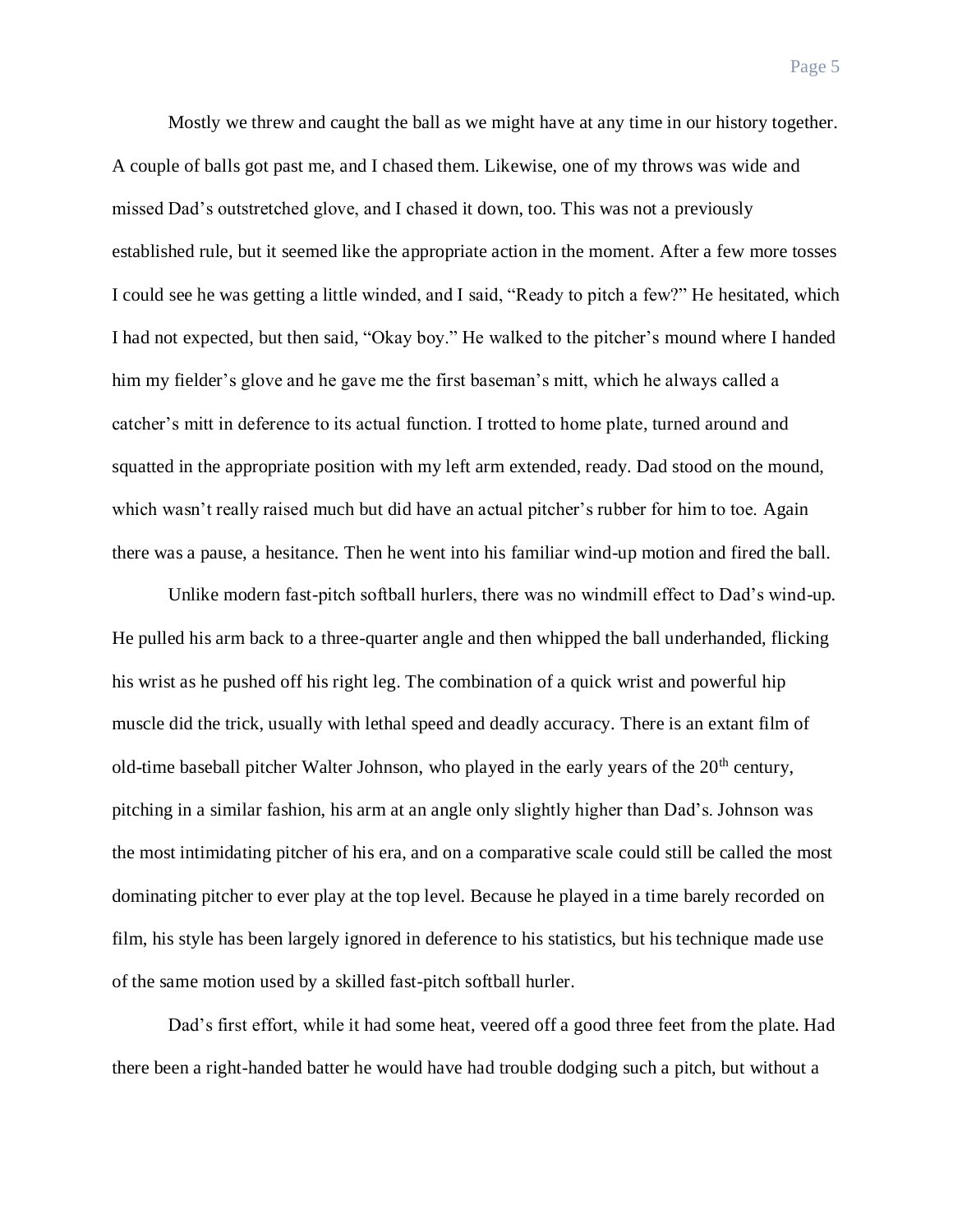Mostly we threw and caught the ball as we might have at any time in our history together. A couple of balls got past me, and I chased them. Likewise, one of my throws was wide and missed Dad's outstretched glove, and I chased it down, too. This was not a previously established rule, but it seemed like the appropriate action in the moment. After a few more tosses I could see he was getting a little winded, and I said, "Ready to pitch a few?" He hesitated, which I had not expected, but then said, "Okay boy." He walked to the pitcher's mound where I handed him my fielder's glove and he gave me the first baseman's mitt, which he always called a catcher's mitt in deference to its actual function. I trotted to home plate, turned around and squatted in the appropriate position with my left arm extended, ready. Dad stood on the mound, which wasn't really raised much but did have an actual pitcher's rubber for him to toe. Again

there was a pause, a hesitance. Then he went into his familiar wind-up motion and fired the ball.

Unlike modern fast-pitch softball hurlers, there was no windmill effect to Dad's wind-up. He pulled his arm back to a three-quarter angle and then whipped the ball underhanded, flicking his wrist as he pushed off his right leg. The combination of a quick wrist and powerful hip muscle did the trick, usually with lethal speed and deadly accuracy. There is an extant film of old-time baseball pitcher Walter Johnson, who played in the early years of the  $20<sup>th</sup>$  century, pitching in a similar fashion, his arm at an angle only slightly higher than Dad's. Johnson was the most intimidating pitcher of his era, and on a comparative scale could still be called the most dominating pitcher to ever play at the top level. Because he played in a time barely recorded on film, his style has been largely ignored in deference to his statistics, but his technique made use of the same motion used by a skilled fast-pitch softball hurler.

Dad's first effort, while it had some heat, veered off a good three feet from the plate. Had there been a right-handed batter he would have had trouble dodging such a pitch, but without a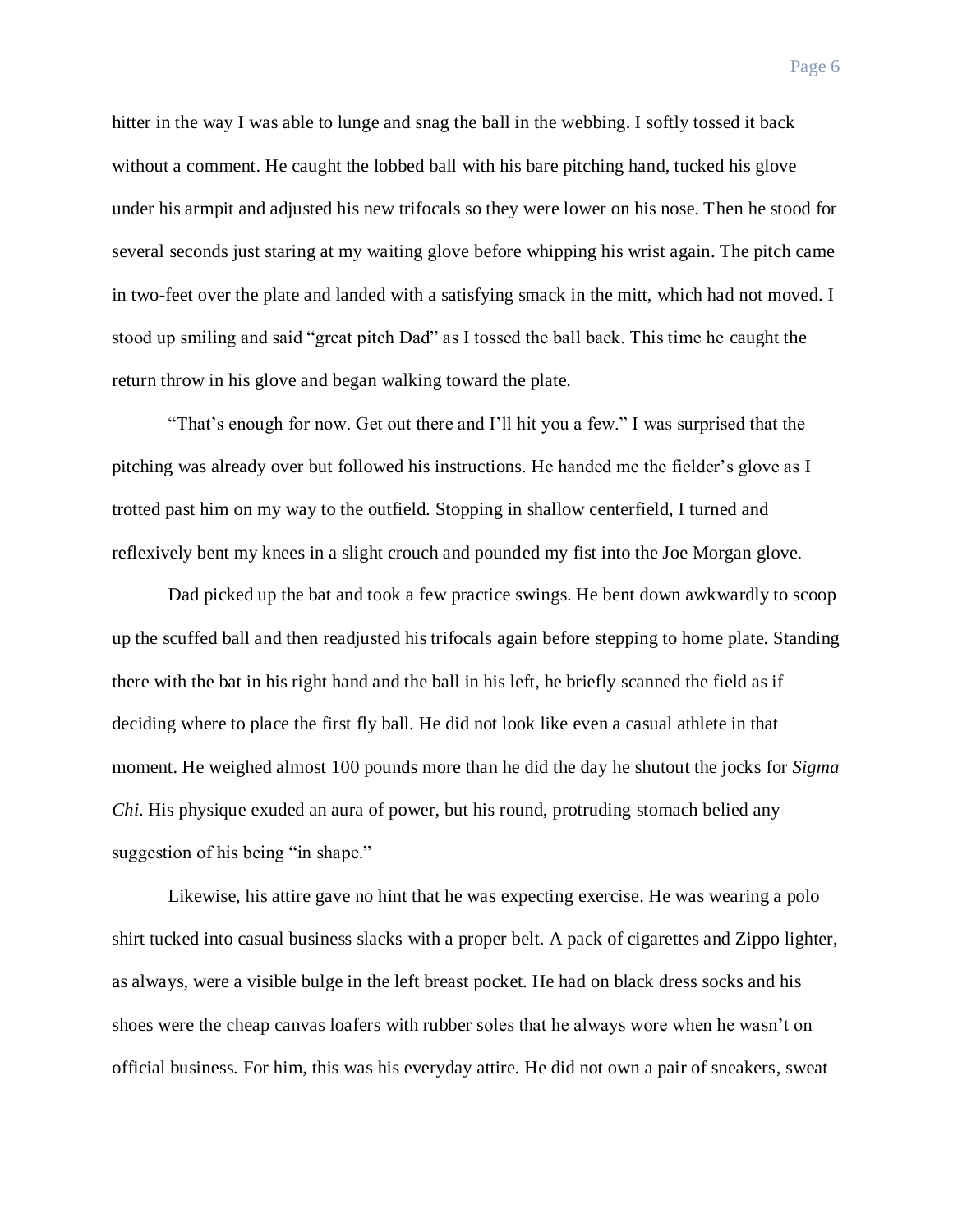hitter in the way I was able to lunge and snag the ball in the webbing. I softly tossed it back without a comment. He caught the lobbed ball with his bare pitching hand, tucked his glove under his armpit and adjusted his new trifocals so they were lower on his nose. Then he stood for several seconds just staring at my waiting glove before whipping his wrist again. The pitch came in two-feet over the plate and landed with a satisfying smack in the mitt, which had not moved. I stood up smiling and said "great pitch Dad" as I tossed the ball back. This time he caught the return throw in his glove and began walking toward the plate.

"That's enough for now. Get out there and I'll hit you a few." I was surprised that the pitching was already over but followed his instructions. He handed me the fielder's glove as I trotted past him on my way to the outfield. Stopping in shallow centerfield, I turned and reflexively bent my knees in a slight crouch and pounded my fist into the Joe Morgan glove.

Dad picked up the bat and took a few practice swings. He bent down awkwardly to scoop up the scuffed ball and then readjusted his trifocals again before stepping to home plate. Standing there with the bat in his right hand and the ball in his left, he briefly scanned the field as if deciding where to place the first fly ball. He did not look like even a casual athlete in that moment. He weighed almost 100 pounds more than he did the day he shutout the jocks for *Sigma Chi*. His physique exuded an aura of power, but his round, protruding stomach belied any suggestion of his being "in shape."

Likewise, his attire gave no hint that he was expecting exercise. He was wearing a polo shirt tucked into casual business slacks with a proper belt. A pack of cigarettes and Zippo lighter, as always, were a visible bulge in the left breast pocket. He had on black dress socks and his shoes were the cheap canvas loafers with rubber soles that he always wore when he wasn't on official business. For him, this was his everyday attire. He did not own a pair of sneakers, sweat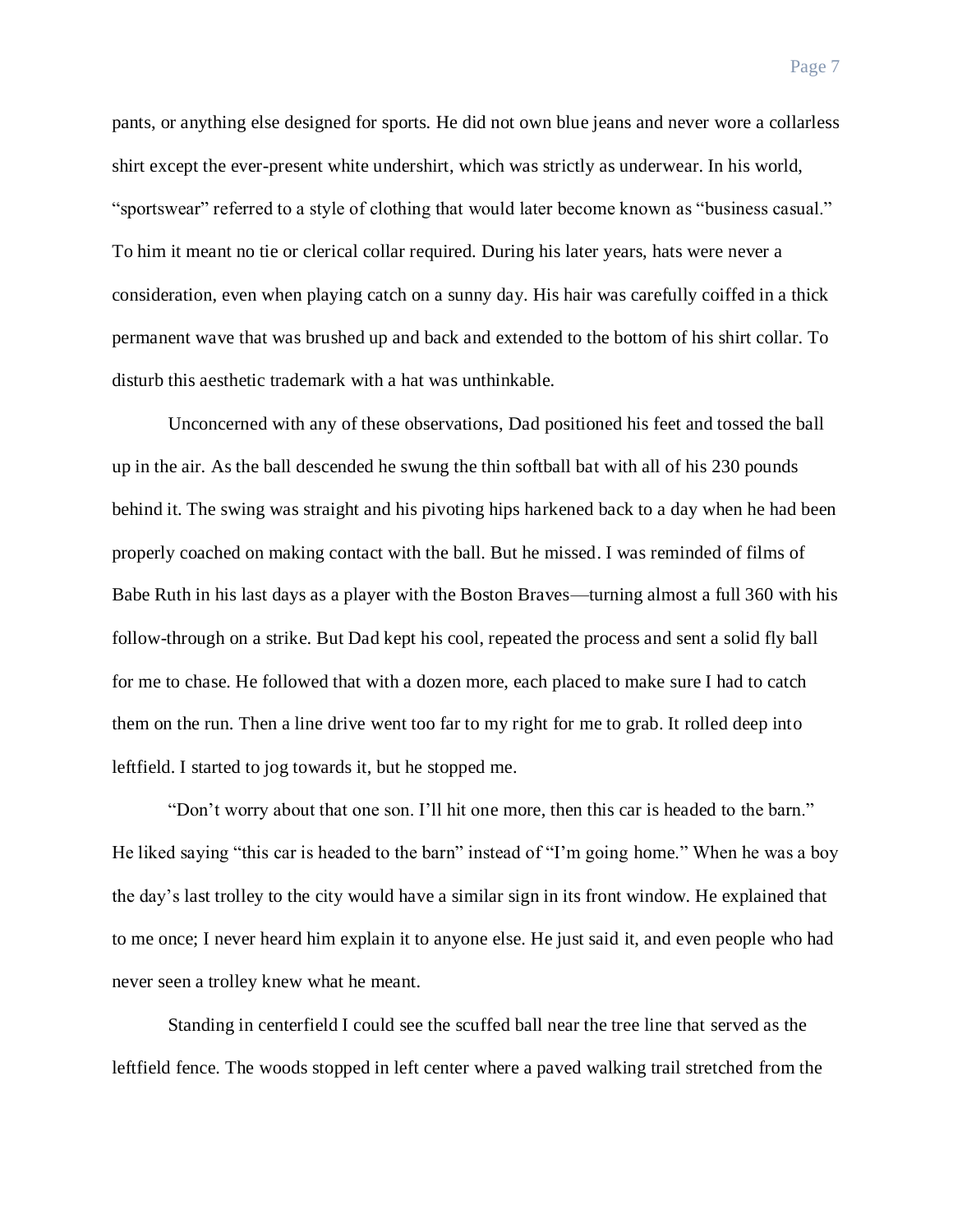pants, or anything else designed for sports. He did not own blue jeans and never wore a collarless shirt except the ever-present white undershirt, which was strictly as underwear. In his world, "sportswear" referred to a style of clothing that would later become known as "business casual." To him it meant no tie or clerical collar required. During his later years, hats were never a consideration, even when playing catch on a sunny day. His hair was carefully coiffed in a thick permanent wave that was brushed up and back and extended to the bottom of his shirt collar. To disturb this aesthetic trademark with a hat was unthinkable.

Unconcerned with any of these observations, Dad positioned his feet and tossed the ball up in the air. As the ball descended he swung the thin softball bat with all of his 230 pounds behind it. The swing was straight and his pivoting hips harkened back to a day when he had been properly coached on making contact with the ball. But he missed. I was reminded of films of Babe Ruth in his last days as a player with the Boston Braves—turning almost a full 360 with his follow-through on a strike. But Dad kept his cool, repeated the process and sent a solid fly ball for me to chase. He followed that with a dozen more, each placed to make sure I had to catch them on the run. Then a line drive went too far to my right for me to grab. It rolled deep into leftfield. I started to jog towards it, but he stopped me.

"Don't worry about that one son. I'll hit one more, then this car is headed to the barn." He liked saying "this car is headed to the barn" instead of "I'm going home." When he was a boy the day's last trolley to the city would have a similar sign in its front window. He explained that to me once; I never heard him explain it to anyone else. He just said it, and even people who had never seen a trolley knew what he meant.

Standing in centerfield I could see the scuffed ball near the tree line that served as the leftfield fence. The woods stopped in left center where a paved walking trail stretched from the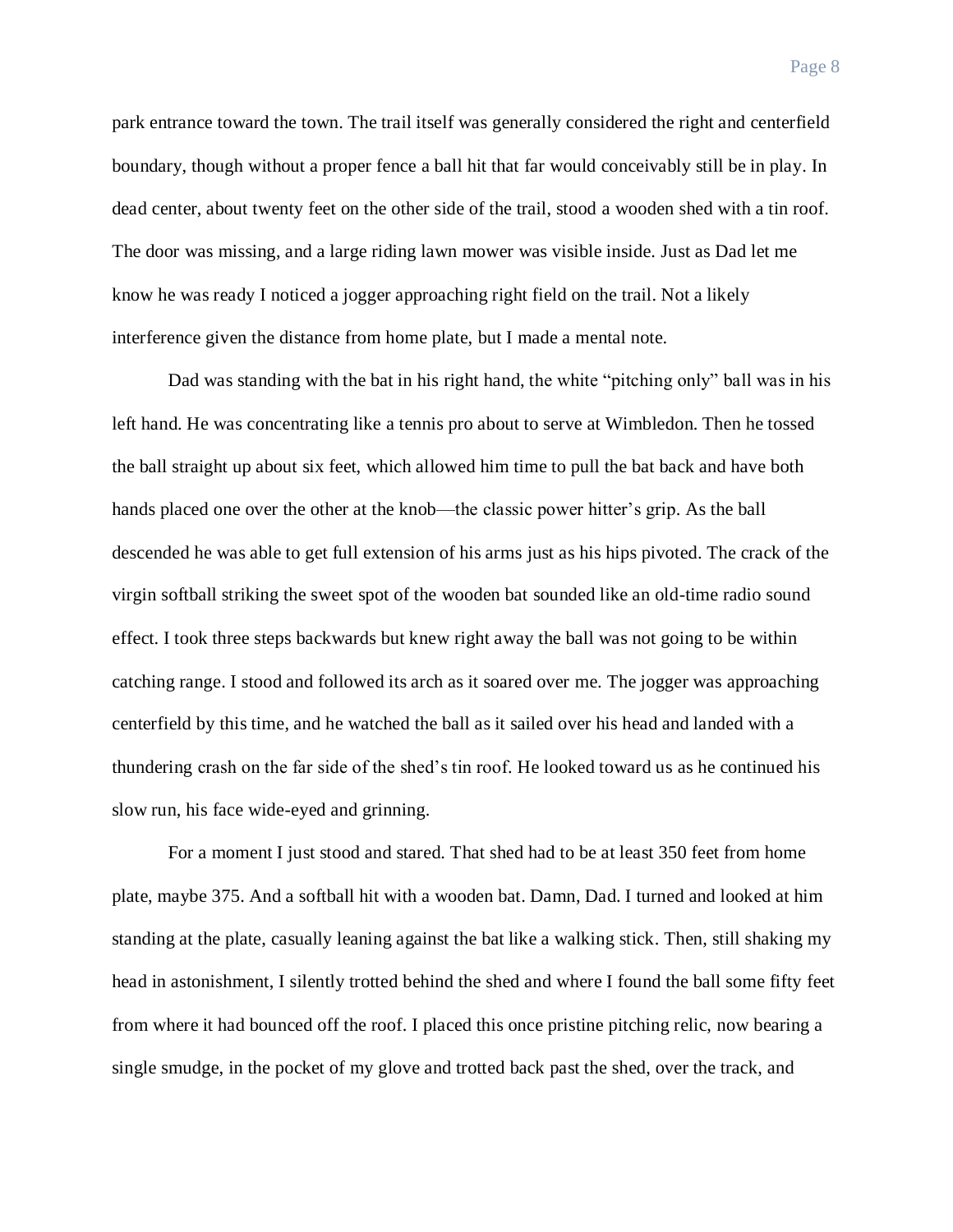park entrance toward the town. The trail itself was generally considered the right and centerfield boundary, though without a proper fence a ball hit that far would conceivably still be in play. In dead center, about twenty feet on the other side of the trail, stood a wooden shed with a tin roof. The door was missing, and a large riding lawn mower was visible inside. Just as Dad let me

know he was ready I noticed a jogger approaching right field on the trail. Not a likely interference given the distance from home plate, but I made a mental note.

Dad was standing with the bat in his right hand, the white "pitching only" ball was in his left hand. He was concentrating like a tennis pro about to serve at Wimbledon. Then he tossed the ball straight up about six feet, which allowed him time to pull the bat back and have both hands placed one over the other at the knob—the classic power hitter's grip. As the ball descended he was able to get full extension of his arms just as his hips pivoted. The crack of the virgin softball striking the sweet spot of the wooden bat sounded like an old-time radio sound effect. I took three steps backwards but knew right away the ball was not going to be within catching range. I stood and followed its arch as it soared over me. The jogger was approaching centerfield by this time, and he watched the ball as it sailed over his head and landed with a thundering crash on the far side of the shed's tin roof. He looked toward us as he continued his slow run, his face wide-eyed and grinning.

For a moment I just stood and stared. That shed had to be at least 350 feet from home plate, maybe 375. And a softball hit with a wooden bat. Damn, Dad. I turned and looked at him standing at the plate, casually leaning against the bat like a walking stick. Then, still shaking my head in astonishment, I silently trotted behind the shed and where I found the ball some fifty feet from where it had bounced off the roof. I placed this once pristine pitching relic, now bearing a single smudge, in the pocket of my glove and trotted back past the shed, over the track, and